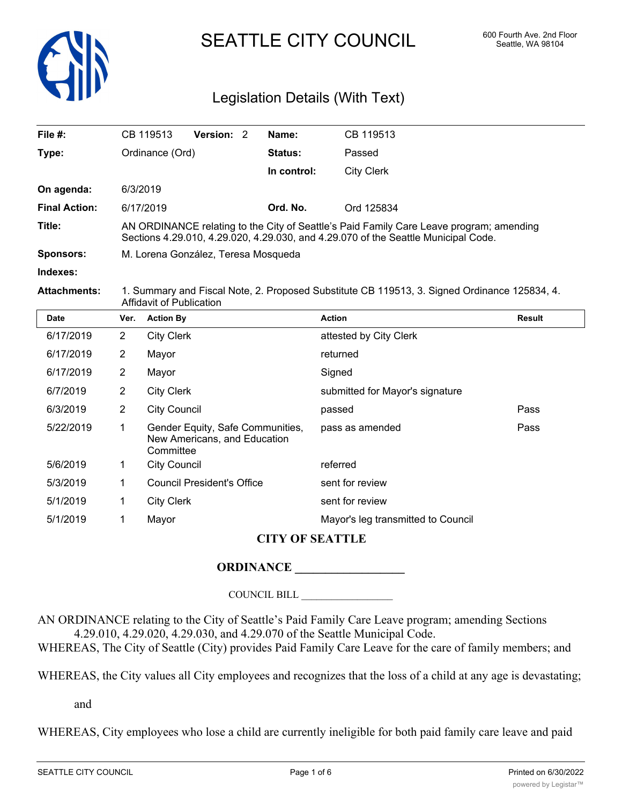

SEATTLE CITY COUNCIL 600 Fourth Ave. 2nd Floor

# Legislation Details (With Text)

| File $#$ :           |                                                                                                                                                                               | CB 119513         | <b>Version: 2</b> |  | Name:       | CB 119513              |        |
|----------------------|-------------------------------------------------------------------------------------------------------------------------------------------------------------------------------|-------------------|-------------------|--|-------------|------------------------|--------|
| Type:                |                                                                                                                                                                               | Ordinance (Ord)   |                   |  | Status:     | Passed                 |        |
|                      |                                                                                                                                                                               |                   |                   |  | In control: | <b>City Clerk</b>      |        |
| On agenda:           |                                                                                                                                                                               | 6/3/2019          |                   |  |             |                        |        |
| <b>Final Action:</b> |                                                                                                                                                                               | 6/17/2019         |                   |  | Ord. No.    | Ord 125834             |        |
| Title:               | AN ORDINANCE relating to the City of Seattle's Paid Family Care Leave program; amending<br>Sections 4.29.010, 4.29.020, 4.29.030, and 4.29.070 of the Seattle Municipal Code. |                   |                   |  |             |                        |        |
| <b>Sponsors:</b>     | M. Lorena González, Teresa Mosqueda                                                                                                                                           |                   |                   |  |             |                        |        |
| Indexes:             |                                                                                                                                                                               |                   |                   |  |             |                        |        |
| <b>Attachments:</b>  | 1. Summary and Fiscal Note, 2. Proposed Substitute CB 119513, 3. Signed Ordinance 125834, 4.<br>Affidavit of Publication                                                      |                   |                   |  |             |                        |        |
| <b>Date</b>          | Ver.                                                                                                                                                                          | <b>Action By</b>  |                   |  |             | <b>Action</b>          | Result |
| 6/17/2019            | $\overline{2}$                                                                                                                                                                | <b>City Clerk</b> |                   |  |             | attested by City Clerk |        |
| 6/17/2019            | $\overline{2}$                                                                                                                                                                | Mayor             |                   |  |             | returned               |        |
| 6/17/2019            | 2                                                                                                                                                                             | Mayor             |                   |  |             | Signed                 |        |
|                      |                                                                                                                                                                               |                   |                   |  |             |                        |        |

| 6/7/2019  | 2 | <b>City Clerk</b>                                                             | submitted for Mayor's signature    |      |
|-----------|---|-------------------------------------------------------------------------------|------------------------------------|------|
| 6/3/2019  | 2 | <b>City Council</b>                                                           | passed                             | Pass |
| 5/22/2019 |   | Gender Equity, Safe Communities,<br>New Americans, and Education<br>Committee | pass as amended                    | Pass |
| 5/6/2019  |   | <b>City Council</b>                                                           | referred                           |      |
| 5/3/2019  |   | <b>Council President's Office</b>                                             | sent for review                    |      |
| 5/1/2019  |   | <b>City Clerk</b>                                                             | sent for review                    |      |
| 5/1/2019  | 1 | Mayor                                                                         | Mayor's leg transmitted to Council |      |

# **CITY OF SEATTLE**

# **ORDINANCE \_\_\_\_\_\_\_\_\_\_\_\_\_\_\_\_\_\_**

COUNCIL BILL \_\_\_\_\_\_\_\_\_\_\_\_\_\_\_\_\_\_

AN ORDINANCE relating to the City of Seattle's Paid Family Care Leave program; amending Sections 4.29.010, 4.29.020, 4.29.030, and 4.29.070 of the Seattle Municipal Code.

WHEREAS, The City of Seattle (City) provides Paid Family Care Leave for the care of family members; and

WHEREAS, the City values all City employees and recognizes that the loss of a child at any age is devastating;

and

WHEREAS, City employees who lose a child are currently ineligible for both paid family care leave and paid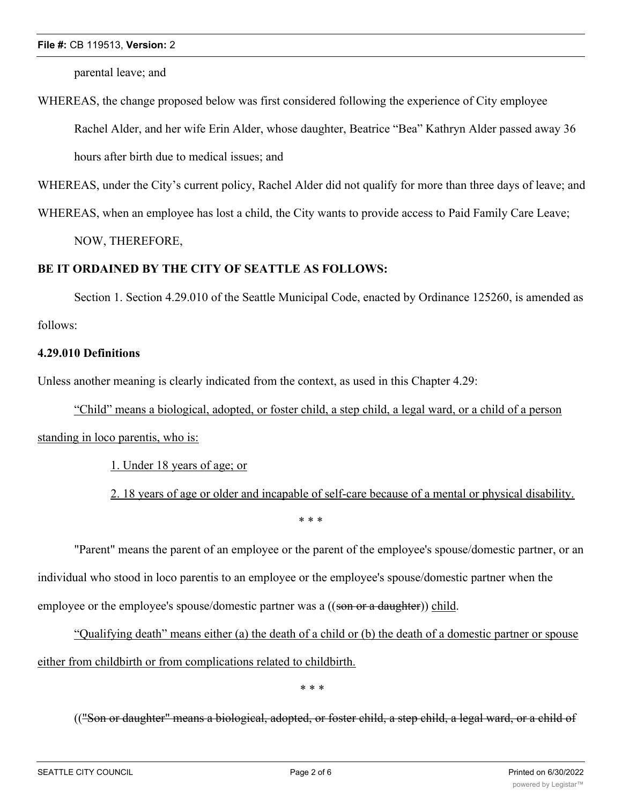### **File #:** CB 119513, **Version:** 2

parental leave; and

WHEREAS, the change proposed below was first considered following the experience of City employee Rachel Alder, and her wife Erin Alder, whose daughter, Beatrice "Bea" Kathryn Alder passed away 36 hours after birth due to medical issues; and

WHEREAS, under the City's current policy, Rachel Alder did not qualify for more than three days of leave; and

WHEREAS, when an employee has lost a child, the City wants to provide access to Paid Family Care Leave;

NOW, THEREFORE,

## **BE IT ORDAINED BY THE CITY OF SEATTLE AS FOLLOWS:**

Section 1. Section 4.29.010 of the Seattle Municipal Code, enacted by Ordinance 125260, is amended as follows:

## **4.29.010 Definitions**

Unless another meaning is clearly indicated from the context, as used in this Chapter 4.29:

"Child" means a biological, adopted, or foster child, a step child, a legal ward, or a child of a person standing in loco parentis, who is:

1. Under 18 years of age; or

2. 18 years of age or older and incapable of self-care because of a mental or physical disability. \* \* \*

"Parent" means the parent of an employee or the parent of the employee's spouse/domestic partner, or an individual who stood in loco parentis to an employee or the employee's spouse/domestic partner when the employee or the employee's spouse/domestic partner was a ((son or a daughter)) child.

"Qualifying death" means either (a) the death of a child or (b) the death of a domestic partner or spouse either from childbirth or from complications related to childbirth.

\* \* \*

(("Son or daughter" means a biological, adopted, or foster child, a step child, a legal ward, or a child of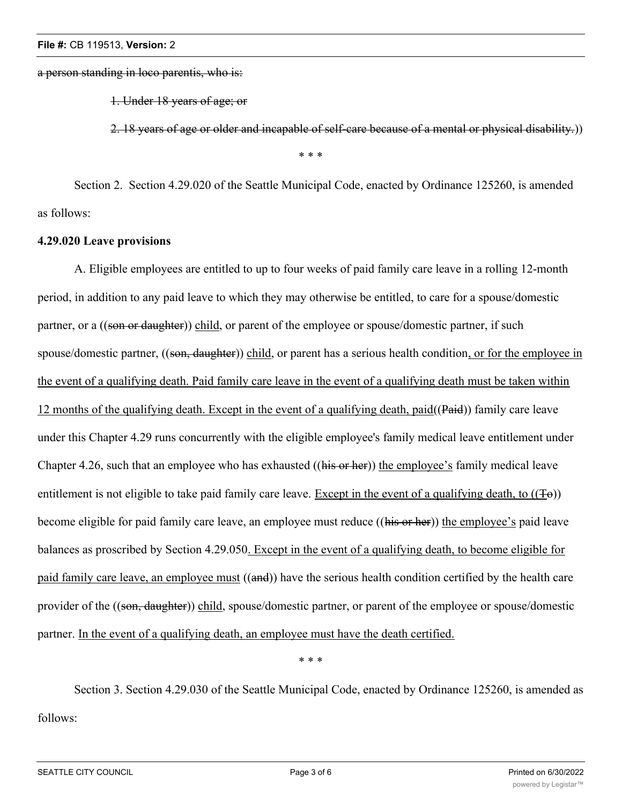a person standing in loco parentis, who is:

1. Under 18 years of age; or

2. 18 years of age or older and incapable of self-care because of a mental or physical disability.))

\* \* \*

Section 2. Section 4.29.020 of the Seattle Municipal Code, enacted by Ordinance 125260, is amended as follows:

## **4.29.020 Leave provisions**

A. Eligible employees are entitled to up to four weeks of paid family care leave in a rolling 12-month period, in addition to any paid leave to which they may otherwise be entitled, to care for a spouse/domestic partner, or a ((son or daughter)) child, or parent of the employee or spouse/domestic partner, if such spouse/domestic partner, ((son, daughter)) child, or parent has a serious health condition, or for the employee in the event of a qualifying death. Paid family care leave in the event of a qualifying death must be taken within 12 months of the qualifying death. Except in the event of a qualifying death, paid((Paid)) family care leave under this Chapter 4.29 runs concurrently with the eligible employee's family medical leave entitlement under Chapter 4.26, such that an employee who has exhausted ((his or her)) the employee's family medical leave entitlement is not eligible to take paid family care leave. Except in the event of a qualifying death, to  $((\pm \theta))$ become eligible for paid family care leave, an employee must reduce ((his or her)) the employee's paid leave balances as proscribed by Section 4.29.050. Except in the event of a qualifying death, to become eligible for paid family care leave, an employee must ((and)) have the serious health condition certified by the health care provider of the ((son, daughter)) child, spouse/domestic partner, or parent of the employee or spouse/domestic partner. In the event of a qualifying death, an employee must have the death certified.

\* \* \*

Section 3. Section 4.29.030 of the Seattle Municipal Code, enacted by Ordinance 125260, is amended as follows: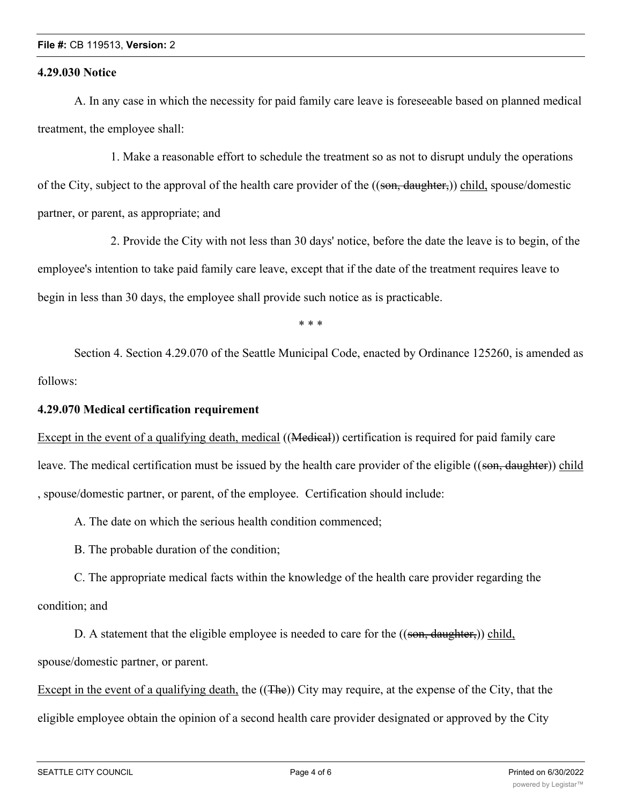## **File #:** CB 119513, **Version:** 2

## **4.29.030 Notice**

A. In any case in which the necessity for paid family care leave is foreseeable based on planned medical treatment, the employee shall:

1. Make a reasonable effort to schedule the treatment so as not to disrupt unduly the operations of the City, subject to the approval of the health care provider of the ((son, daughter,)) child, spouse/domestic partner, or parent, as appropriate; and

2. Provide the City with not less than 30 days' notice, before the date the leave is to begin, of the employee's intention to take paid family care leave, except that if the date of the treatment requires leave to begin in less than 30 days, the employee shall provide such notice as is practicable.

\* \* \*

Section 4. Section 4.29.070 of the Seattle Municipal Code, enacted by Ordinance 125260, is amended as follows:

## **4.29.070 Medical certification requirement**

Except in the event of a qualifying death, medical ((Medical)) certification is required for paid family care leave. The medical certification must be issued by the health care provider of the eligible ((son, daughter)) child , spouse/domestic partner, or parent, of the employee. Certification should include:

A. The date on which the serious health condition commenced;

B. The probable duration of the condition;

C. The appropriate medical facts within the knowledge of the health care provider regarding the condition; and

D. A statement that the eligible employee is needed to care for the ((son, daughter,)) child, spouse/domestic partner, or parent.

Except in the event of a qualifying death, the ((The)) City may require, at the expense of the City, that the eligible employee obtain the opinion of a second health care provider designated or approved by the City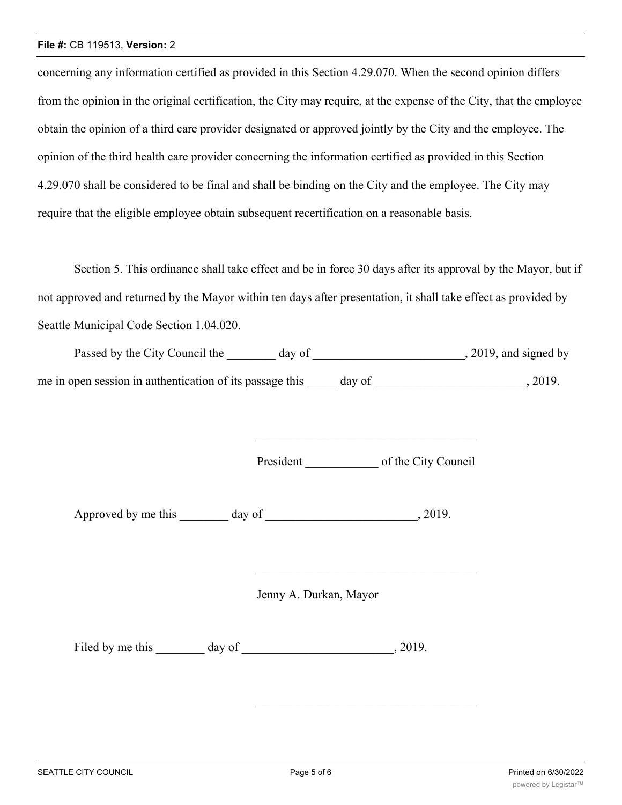#### **File #:** CB 119513, **Version:** 2

concerning any information certified as provided in this Section 4.29.070. When the second opinion differs from the opinion in the original certification, the City may require, at the expense of the City, that the employee obtain the opinion of a third care provider designated or approved jointly by the City and the employee. The opinion of the third health care provider concerning the information certified as provided in this Section 4.29.070 shall be considered to be final and shall be binding on the City and the employee. The City may require that the eligible employee obtain subsequent recertification on a reasonable basis.

Section 5. This ordinance shall take effect and be in force 30 days after its approval by the Mayor, but if not approved and returned by the Mayor within ten days after presentation, it shall take effect as provided by Seattle Municipal Code Section 1.04.020.

| Passed by the City Council the                           | day of | , 2019, and signed by |
|----------------------------------------------------------|--------|-----------------------|
| me in open session in authentication of its passage this | day of | 2019.                 |

President of the City Council

Approved by me this day of the case of the case of the case of  $\alpha$ , 2019.

Jenny A. Durkan, Mayor

Filed by me this day of 3019.